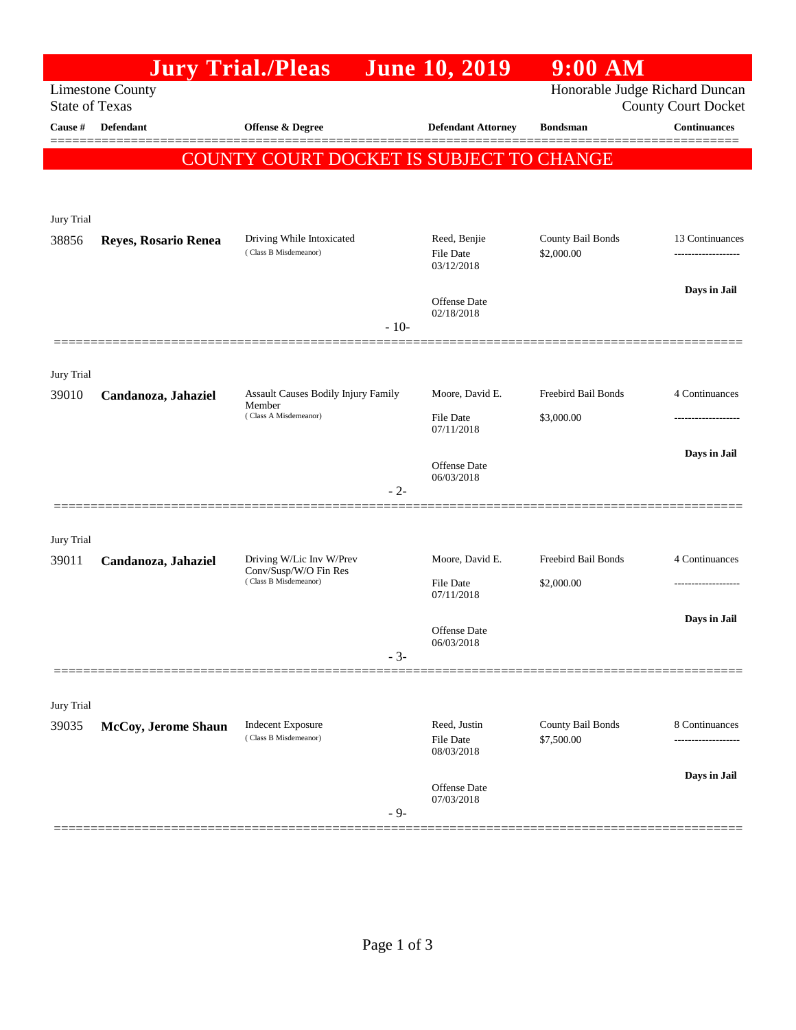|                                                  |                      | <b>Jury Trial./Pleas</b>                           | <b>June 10, 2019</b>                           | $9:00$ AM                       |                            |
|--------------------------------------------------|----------------------|----------------------------------------------------|------------------------------------------------|---------------------------------|----------------------------|
| <b>Limestone County</b><br><b>State of Texas</b> |                      |                                                    |                                                | Honorable Judge Richard Duncan  | <b>County Court Docket</b> |
| Cause #                                          | <b>Defendant</b>     | Offense & Degree                                   | <b>Defendant Attorney</b>                      | <b>Bondsman</b>                 | <b>Continuances</b>        |
|                                                  |                      | COUNTY COURT DOCKET IS SUBJECT TO CHANGE           |                                                |                                 |                            |
|                                                  |                      |                                                    |                                                |                                 |                            |
| Jury Trial                                       |                      |                                                    |                                                |                                 |                            |
| 38856                                            | Reyes, Rosario Renea | Driving While Intoxicated<br>(Class B Misdemeanor) | Reed, Benjie<br><b>File Date</b><br>03/12/2018 | County Bail Bonds<br>\$2,000.00 | 13 Continuances            |
|                                                  |                      |                                                    | Offense Date<br>02/18/2018                     |                                 | Days in Jail               |
|                                                  |                      | $-10-$                                             |                                                |                                 |                            |
| Jury Trial                                       |                      |                                                    |                                                |                                 |                            |
| 39010                                            | Candanoza, Jahaziel  | Assault Causes Bodily Injury Family<br>Member      | Moore, David E.                                | Freebird Bail Bonds             | 4 Continuances             |
|                                                  |                      | (Class A Misdemeanor)                              | <b>File Date</b><br>07/11/2018                 | \$3,000.00                      |                            |
|                                                  |                      |                                                    | Offense Date                                   |                                 | Days in Jail               |
|                                                  |                      | $-2-$                                              | 06/03/2018                                     |                                 |                            |
|                                                  |                      |                                                    |                                                |                                 |                            |
| Jury Trial<br>39011                              |                      | Driving W/Lic Inv W/Prev                           | Moore, David E.                                | Freebird Bail Bonds             | 4 Continuances             |
|                                                  | Candanoza, Jahaziel  | Conv/Susp/W/O Fin Res<br>(Class B Misdemeanor)     | File Date                                      | \$2,000.00                      | -------------------        |
|                                                  |                      |                                                    | 07/11/2018                                     |                                 | Days in Jail               |
|                                                  |                      |                                                    | Offense Date<br>06/03/2018                     |                                 |                            |
|                                                  |                      | $-3-$                                              |                                                |                                 |                            |
| Jury Trial                                       |                      |                                                    |                                                |                                 |                            |
| 39035                                            | McCoy, Jerome Shaun  | <b>Indecent Exposure</b><br>(Class B Misdemeanor)  | Reed, Justin<br>File Date<br>08/03/2018        | County Bail Bonds<br>\$7,500.00 | 8 Continuances             |
|                                                  |                      | $-9-$                                              | Offense Date<br>07/03/2018                     |                                 | Days in Jail               |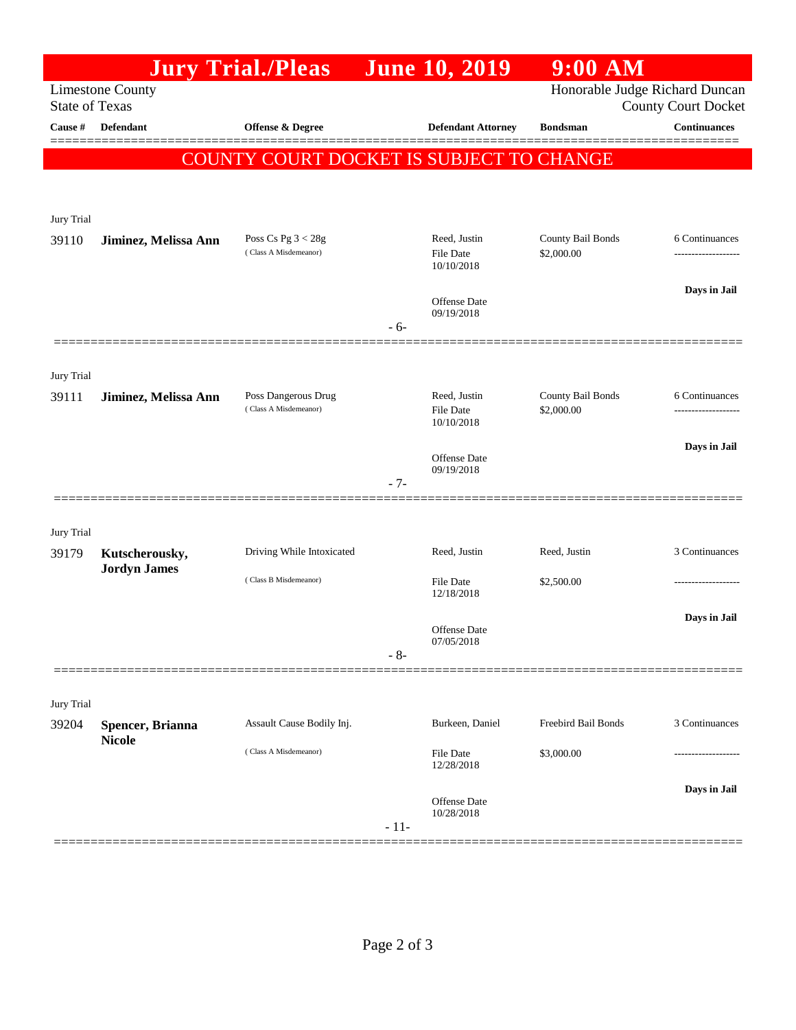|                                                                                                                  |                                       | <b>Jury Trial./Pleas</b>                      |        | <b>June 10, 2019</b>           | $9:00$ AM                       |                                     |
|------------------------------------------------------------------------------------------------------------------|---------------------------------------|-----------------------------------------------|--------|--------------------------------|---------------------------------|-------------------------------------|
| Honorable Judge Richard Duncan<br><b>Limestone County</b><br><b>County Court Docket</b><br><b>State of Texas</b> |                                       |                                               |        |                                |                                 |                                     |
| Cause #                                                                                                          | Defendant                             | <b>Offense &amp; Degree</b>                   |        | <b>Defendant Attorney</b>      | <b>Bondsman</b>                 | <b>Continuances</b>                 |
|                                                                                                                  |                                       | COUNTY COURT DOCKET IS SUBJECT TO CHANGE      |        |                                |                                 |                                     |
|                                                                                                                  |                                       |                                               |        |                                |                                 |                                     |
| Jury Trial                                                                                                       |                                       |                                               |        |                                |                                 |                                     |
| 39110                                                                                                            | Jiminez, Melissa Ann                  | Poss Cs Pg $3 < 28g$<br>(Class A Misdemeanor) |        | Reed, Justin<br>File Date      | County Bail Bonds<br>\$2,000.00 | 6 Continuances<br>----------------- |
|                                                                                                                  |                                       |                                               |        | 10/10/2018                     |                                 |                                     |
|                                                                                                                  |                                       |                                               |        | Offense Date                   |                                 | Days in Jail                        |
|                                                                                                                  |                                       |                                               | $-6-$  | 09/19/2018                     |                                 |                                     |
|                                                                                                                  |                                       |                                               |        |                                |                                 |                                     |
| Jury Trial<br>39111                                                                                              | Jiminez, Melissa Ann                  | Poss Dangerous Drug                           |        | Reed, Justin                   | County Bail Bonds               | 6 Continuances                      |
|                                                                                                                  |                                       | (Class A Misdemeanor)                         |        | File Date<br>10/10/2018        | \$2,000.00                      | .                                   |
|                                                                                                                  |                                       |                                               |        | Offense Date                   |                                 | Days in Jail                        |
|                                                                                                                  |                                       |                                               | - 7-   | 09/19/2018                     |                                 |                                     |
|                                                                                                                  |                                       |                                               |        |                                |                                 |                                     |
| Jury Trial                                                                                                       |                                       |                                               |        |                                |                                 |                                     |
| 39179                                                                                                            | Kutscherousky,<br><b>Jordyn James</b> | Driving While Intoxicated                     |        | Reed, Justin                   | Reed, Justin                    | 3 Continuances                      |
|                                                                                                                  |                                       | (Class B Misdemeanor)                         |        | <b>File Date</b><br>12/18/2018 | \$2,500.00                      |                                     |
|                                                                                                                  |                                       |                                               |        | <b>Offense</b> Date            |                                 | Days in Jail                        |
|                                                                                                                  |                                       |                                               | $-8-$  | 07/05/2018                     |                                 |                                     |
|                                                                                                                  |                                       |                                               |        |                                |                                 |                                     |
| Jury Trial                                                                                                       |                                       |                                               |        |                                |                                 |                                     |
| 39204                                                                                                            | Spencer, Brianna<br><b>Nicole</b>     | Assault Cause Bodily Inj.                     |        | Burkeen, Daniel                | Freebird Bail Bonds             | 3 Continuances                      |
|                                                                                                                  |                                       | (Class A Misdemeanor)                         |        | File Date<br>12/28/2018        | \$3,000.00                      |                                     |
|                                                                                                                  |                                       |                                               |        | Offense Date                   |                                 | Days in Jail                        |
|                                                                                                                  |                                       |                                               | $-11-$ | 10/28/2018                     |                                 |                                     |
|                                                                                                                  |                                       |                                               |        |                                |                                 |                                     |